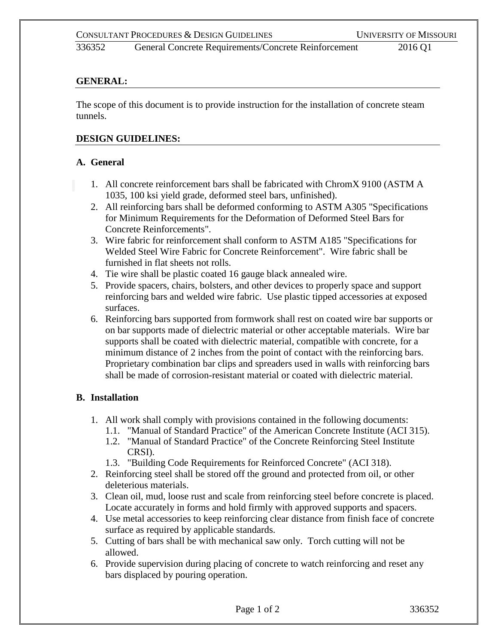336352 General Concrete Requirements/Concrete Reinforcement 2016 Q1

### **GENERAL:**

The scope of this document is to provide instruction for the installation of concrete steam tunnels.

#### **DESIGN GUIDELINES:**

#### **A. General**

- 1. All concrete reinforcement bars shall be fabricated with ChromX 9100 (ASTM A 1035, 100 ksi yield grade, deformed steel bars, unfinished).
- 2. All reinforcing bars shall be deformed conforming to ASTM A305 "Specifications for Minimum Requirements for the Deformation of Deformed Steel Bars for Concrete Reinforcements".
- 3. Wire fabric for reinforcement shall conform to ASTM A185 "Specifications for Welded Steel Wire Fabric for Concrete Reinforcement". Wire fabric shall be furnished in flat sheets not rolls.
- 4. Tie wire shall be plastic coated 16 gauge black annealed wire.
- 5. Provide spacers, chairs, bolsters, and other devices to properly space and support reinforcing bars and welded wire fabric. Use plastic tipped accessories at exposed surfaces.
- 6. Reinforcing bars supported from formwork shall rest on coated wire bar supports or on bar supports made of dielectric material or other acceptable materials. Wire bar supports shall be coated with dielectric material, compatible with concrete, for a minimum distance of 2 inches from the point of contact with the reinforcing bars. Proprietary combination bar clips and spreaders used in walls with reinforcing bars shall be made of corrosion-resistant material or coated with dielectric material.

# **B. Installation**

- 1. All work shall comply with provisions contained in the following documents:
	- 1.1. "Manual of Standard Practice" of the American Concrete Institute (ACI 315).
	- 1.2. "Manual of Standard Practice" of the Concrete Reinforcing Steel Institute CRSI).
	- 1.3. "Building Code Requirements for Reinforced Concrete" (ACI 318).
- 2. Reinforcing steel shall be stored off the ground and protected from oil, or other deleterious materials.
- 3. Clean oil, mud, loose rust and scale from reinforcing steel before concrete is placed. Locate accurately in forms and hold firmly with approved supports and spacers.
- 4. Use metal accessories to keep reinforcing clear distance from finish face of concrete surface as required by applicable standards.
- 5. Cutting of bars shall be with mechanical saw only. Torch cutting will not be allowed.
- 6. Provide supervision during placing of concrete to watch reinforcing and reset any bars displaced by pouring operation.